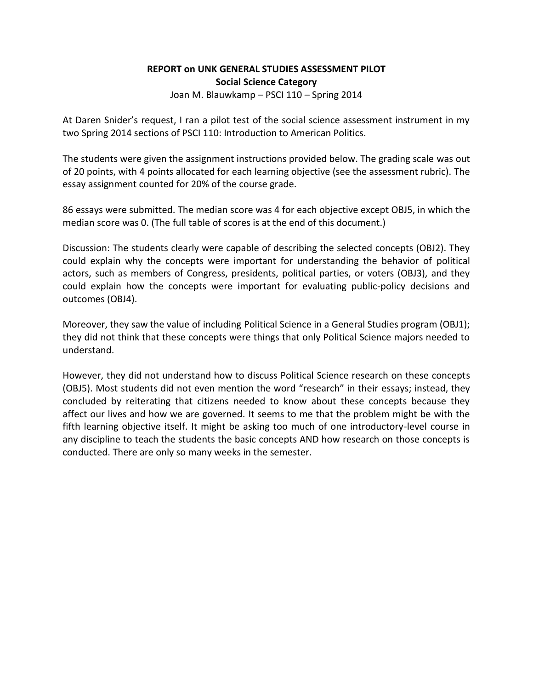## **REPORT on UNK GENERAL STUDIES ASSESSMENT PILOT Social Science Category** Joan M. Blauwkamp – PSCI 110 – Spring 2014

At Daren Snider's request, I ran a pilot test of the social science assessment instrument in my two Spring 2014 sections of PSCI 110: Introduction to American Politics.

The students were given the assignment instructions provided below. The grading scale was out of 20 points, with 4 points allocated for each learning objective (see the assessment rubric). The essay assignment counted for 20% of the course grade.

86 essays were submitted. The median score was 4 for each objective except OBJ5, in which the median score was 0. (The full table of scores is at the end of this document.)

Discussion: The students clearly were capable of describing the selected concepts (OBJ2). They could explain why the concepts were important for understanding the behavior of political actors, such as members of Congress, presidents, political parties, or voters (OBJ3), and they could explain how the concepts were important for evaluating public-policy decisions and outcomes (OBJ4).

Moreover, they saw the value of including Political Science in a General Studies program (OBJ1); they did not think that these concepts were things that only Political Science majors needed to understand.

However, they did not understand how to discuss Political Science research on these concepts (OBJ5). Most students did not even mention the word "research" in their essays; instead, they concluded by reiterating that citizens needed to know about these concepts because they affect our lives and how we are governed. It seems to me that the problem might be with the fifth learning objective itself. It might be asking too much of one introductory-level course in any discipline to teach the students the basic concepts AND how research on those concepts is conducted. There are only so many weeks in the semester.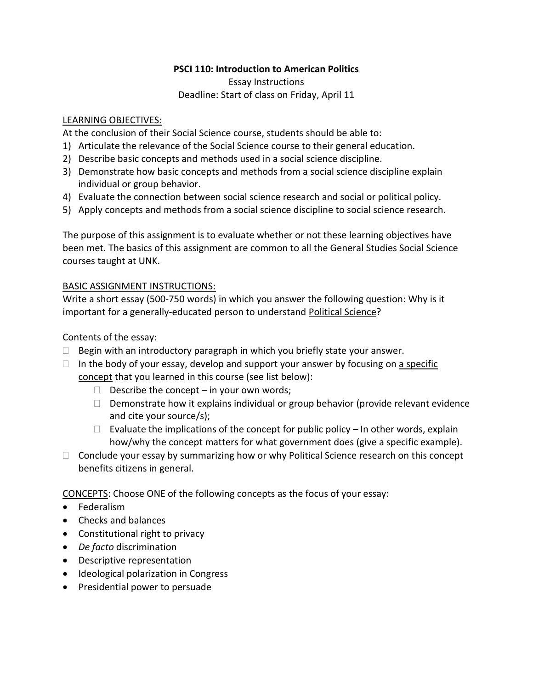## **PSCI 110: Introduction to American Politics**

Essay Instructions Deadline: Start of class on Friday, April 11

#### LEARNING OBJECTIVES:

At the conclusion of their Social Science course, students should be able to:

- 1) Articulate the relevance of the Social Science course to their general education.
- 2) Describe basic concepts and methods used in a social science discipline.
- 3) Demonstrate how basic concepts and methods from a social science discipline explain individual or group behavior.
- 4) Evaluate the connection between social science research and social or political policy.
- 5) Apply concepts and methods from a social science discipline to social science research.

The purpose of this assignment is to evaluate whether or not these learning objectives have been met. The basics of this assignment are common to all the General Studies Social Science courses taught at UNK.

#### BASIC ASSIGNMENT INSTRUCTIONS:

Write a short essay (500-750 words) in which you answer the following question: Why is it important for a generally-educated person to understand Political Science?

#### Contents of the essay:

- $\Box$  Begin with an introductory paragraph in which you briefly state your answer.
- $\Box$  In the body of your essay, develop and support your answer by focusing on a specific concept that you learned in this course (see list below):
	- $\Box$  Describe the concept in your own words;
	- $\Box$  Demonstrate how it explains individual or group behavior (provide relevant evidence and cite your source/s);
	- $\Box$  Evaluate the implications of the concept for public policy In other words, explain how/why the concept matters for what government does (give a specific example).
- $\Box$  Conclude your essay by summarizing how or why Political Science research on this concept benefits citizens in general.

CONCEPTS: Choose ONE of the following concepts as the focus of your essay:

- **•** Federalism
- Checks and balances
- Constitutional right to privacy
- *De facto* discrimination
- Descriptive representation
- Ideological polarization in Congress
- Presidential power to persuade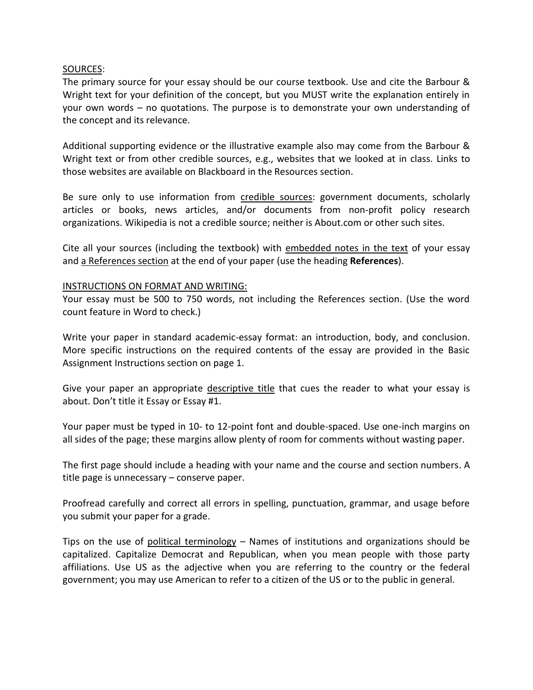#### SOURCES:

The primary source for your essay should be our course textbook. Use and cite the Barbour & Wright text for your definition of the concept, but you MUST write the explanation entirely in your own words – no quotations. The purpose is to demonstrate your own understanding of the concept and its relevance.

Additional supporting evidence or the illustrative example also may come from the Barbour & Wright text or from other credible sources, e.g., websites that we looked at in class. Links to those websites are available on Blackboard in the Resources section.

Be sure only to use information from credible sources: government documents, scholarly articles or books, news articles, and/or documents from non-profit policy research organizations. Wikipedia is not a credible source; neither is About.com or other such sites.

Cite all your sources (including the textbook) with embedded notes in the text of your essay and a References section at the end of your paper (use the heading **References**).

#### INSTRUCTIONS ON FORMAT AND WRITING:

Your essay must be 500 to 750 words, not including the References section. (Use the word count feature in Word to check.)

Write your paper in standard academic-essay format: an introduction, body, and conclusion. More specific instructions on the required contents of the essay are provided in the Basic Assignment Instructions section on page 1.

Give your paper an appropriate descriptive title that cues the reader to what your essay is about. Don't title it Essay or Essay #1.

Your paper must be typed in 10- to 12-point font and double-spaced. Use one-inch margins on all sides of the page; these margins allow plenty of room for comments without wasting paper.

The first page should include a heading with your name and the course and section numbers. A title page is unnecessary – conserve paper.

Proofread carefully and correct all errors in spelling, punctuation, grammar, and usage before you submit your paper for a grade.

Tips on the use of political terminology  $-$  Names of institutions and organizations should be capitalized. Capitalize Democrat and Republican, when you mean people with those party affiliations. Use US as the adjective when you are referring to the country or the federal government; you may use American to refer to a citizen of the US or to the public in general.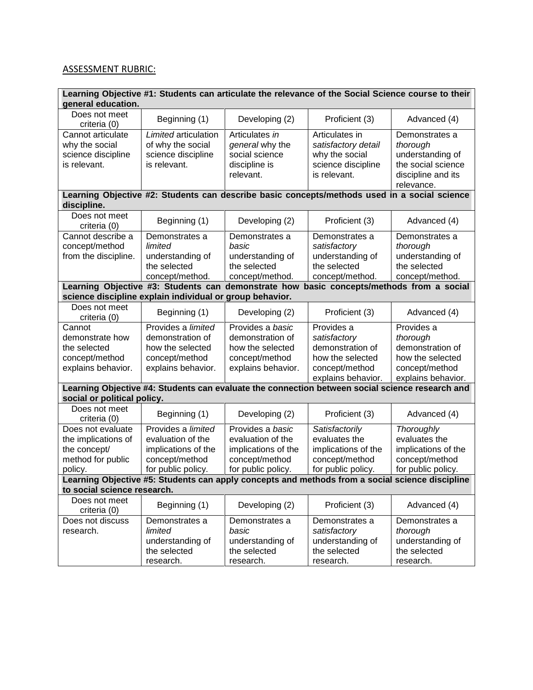# ASSESSMENT RUBRIC:

| Learning Objective #1: Students can articulate the relevance of the Social Science course to their<br>general education.                                                                                                                          |                                                                                                 |                                    |                                                         |                     |  |  |
|---------------------------------------------------------------------------------------------------------------------------------------------------------------------------------------------------------------------------------------------------|-------------------------------------------------------------------------------------------------|------------------------------------|---------------------------------------------------------|---------------------|--|--|
| Does not meet                                                                                                                                                                                                                                     | Beginning (1)                                                                                   | Developing (2)                     | Proficient (3)                                          | Advanced (4)        |  |  |
| criteria (0)                                                                                                                                                                                                                                      |                                                                                                 |                                    |                                                         |                     |  |  |
| Cannot articulate                                                                                                                                                                                                                                 | Limited articulation                                                                            | Articulates in                     | Articulates in                                          | Demonstrates a      |  |  |
| why the social                                                                                                                                                                                                                                    | of why the social                                                                               | general why the                    | satisfactory detail                                     | thorough            |  |  |
| science discipline                                                                                                                                                                                                                                | science discipline                                                                              | social science                     | why the social                                          | understanding of    |  |  |
| is relevant.                                                                                                                                                                                                                                      | is relevant.                                                                                    | discipline is                      | science discipline                                      | the social science  |  |  |
|                                                                                                                                                                                                                                                   |                                                                                                 | relevant.                          | is relevant.                                            | discipline and its  |  |  |
|                                                                                                                                                                                                                                                   |                                                                                                 |                                    |                                                         | relevance.          |  |  |
| discipline.                                                                                                                                                                                                                                       | Learning Objective #2: Students can describe basic concepts/methods used in a social science    |                                    |                                                         |                     |  |  |
| Does not meet                                                                                                                                                                                                                                     | Beginning (1)                                                                                   | Developing (2)                     | Proficient (3)                                          | Advanced (4)        |  |  |
| criteria (0)                                                                                                                                                                                                                                      |                                                                                                 |                                    |                                                         |                     |  |  |
| Cannot describe a                                                                                                                                                                                                                                 | Demonstrates a                                                                                  | Demonstrates a                     | Demonstrates a                                          | Demonstrates a      |  |  |
| concept/method                                                                                                                                                                                                                                    | limited                                                                                         | basic                              | satisfactory                                            | thorough            |  |  |
| from the discipline.                                                                                                                                                                                                                              | understanding of                                                                                | understanding of                   | understanding of                                        | understanding of    |  |  |
|                                                                                                                                                                                                                                                   | the selected                                                                                    | the selected                       | the selected                                            | the selected        |  |  |
|                                                                                                                                                                                                                                                   | concept/method.                                                                                 | concept/method.<br>demonstrate how | concept/method.<br>basic concepts/methods from a social | concept/method.     |  |  |
|                                                                                                                                                                                                                                                   | Learning Objective #3: Students can<br>science discipline explain individual or group behavior. |                                    |                                                         |                     |  |  |
| Does not meet                                                                                                                                                                                                                                     |                                                                                                 |                                    |                                                         |                     |  |  |
| criteria (0)                                                                                                                                                                                                                                      | Beginning (1)                                                                                   | Developing (2)                     | Proficient (3)                                          | Advanced (4)        |  |  |
| Cannot                                                                                                                                                                                                                                            | Provides a limited                                                                              | Provides a basic                   | Provides a                                              | Provides a          |  |  |
| demonstrate how                                                                                                                                                                                                                                   | demonstration of                                                                                | demonstration of                   | satisfactory                                            | thorough            |  |  |
| the selected                                                                                                                                                                                                                                      | how the selected                                                                                | how the selected                   | demonstration of                                        | demonstration of    |  |  |
| concept/method                                                                                                                                                                                                                                    | concept/method                                                                                  | concept/method                     | how the selected                                        | how the selected    |  |  |
| explains behavior.                                                                                                                                                                                                                                | explains behavior.                                                                              | explains behavior.                 | concept/method                                          | concept/method      |  |  |
|                                                                                                                                                                                                                                                   |                                                                                                 |                                    | explains behavior.                                      | explains behavior.  |  |  |
| Learning Objective #4: Students can evaluate the connection between social science research and<br>social or political policy.                                                                                                                    |                                                                                                 |                                    |                                                         |                     |  |  |
| Does not meet                                                                                                                                                                                                                                     |                                                                                                 |                                    |                                                         |                     |  |  |
| criteria (0)                                                                                                                                                                                                                                      | Beginning (1)                                                                                   | Developing (2)                     | Proficient (3)                                          | Advanced (4)        |  |  |
| Does not evaluate                                                                                                                                                                                                                                 | Provides a limited                                                                              | Provides a basic                   | Satisfactorily                                          | Thoroughly          |  |  |
| the implications of                                                                                                                                                                                                                               | evaluation of the                                                                               | evaluation of the                  | evaluates the                                           | evaluates the       |  |  |
| the concept/                                                                                                                                                                                                                                      | implications of the                                                                             | implications of the                | implications of the                                     | implications of the |  |  |
| method for public                                                                                                                                                                                                                                 | concept/method                                                                                  | concept/method                     | concept/method                                          | concept/method      |  |  |
|                                                                                                                                                                                                                                                   | for public policy.                                                                              | for public policy.                 | for public policy.                                      | for public policy.  |  |  |
| policy.   for public policy.   for public policy.   TOT public policy.   TOT public policy.   TOT public policy<br>Learning Objective #5: Students can apply concepts and methods from a social science discipline<br>to social science research. |                                                                                                 |                                    |                                                         |                     |  |  |
| Does not meet                                                                                                                                                                                                                                     |                                                                                                 |                                    |                                                         |                     |  |  |
| criteria (0)                                                                                                                                                                                                                                      | Beginning (1)                                                                                   | Developing (2)                     | Proficient (3)                                          | Advanced (4)        |  |  |
| Does not discuss                                                                                                                                                                                                                                  | Demonstrates a                                                                                  | Demonstrates a                     | Demonstrates a                                          | Demonstrates a      |  |  |
| research.                                                                                                                                                                                                                                         | limited                                                                                         | basic                              | satisfactory                                            | thorough            |  |  |
|                                                                                                                                                                                                                                                   | understanding of                                                                                | understanding of                   | understanding of                                        | understanding of    |  |  |
|                                                                                                                                                                                                                                                   | the selected                                                                                    | the selected                       | the selected                                            | the selected        |  |  |
|                                                                                                                                                                                                                                                   | research.                                                                                       | research.                          | research.                                               | research.           |  |  |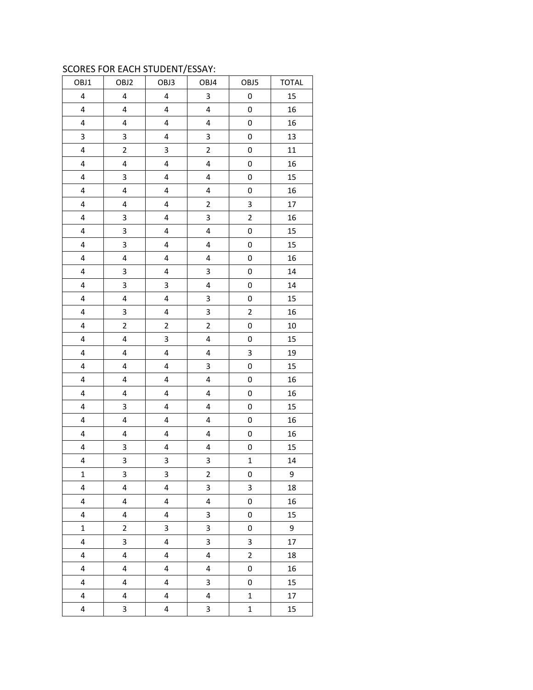### SCORES FOR EACH STUDENT/ESSAY:

|                         |                         | .,                      |                         |                         |              |
|-------------------------|-------------------------|-------------------------|-------------------------|-------------------------|--------------|
| OBJ1                    | OBJ2                    | OBJ3                    | OBJ4                    | OBJ5                    | <b>TOTAL</b> |
| $\overline{\mathbf{4}}$ | 4                       | $\overline{\mathbf{4}}$ | 3                       | 0                       | 15           |
| $\overline{\mathbf{4}}$ | $\overline{\mathbf{4}}$ | $\overline{\mathbf{4}}$ | 4                       | 0                       | 16           |
| $\overline{\mathbf{4}}$ | 4                       | $\overline{\mathbf{4}}$ | $\overline{\mathbf{4}}$ | 0                       | 16           |
| 3                       | 3                       | 4                       | 3                       | 0                       | 13           |
| $\overline{\mathbf{4}}$ | $\overline{2}$          | 3                       | $\overline{c}$          | 0                       | 11           |
| $\overline{\mathbf{4}}$ | 4                       | $\overline{\mathbf{4}}$ | $\overline{\mathbf{4}}$ | 0                       | 16           |
| $\overline{\mathbf{4}}$ | 3                       | $\overline{\mathbf{4}}$ | $\overline{\mathbf{4}}$ | 0                       | 15           |
| $\overline{\mathbf{4}}$ | $\overline{\mathbf{4}}$ | $\overline{\mathbf{4}}$ | $\overline{\mathbf{4}}$ | 0                       | 16           |
| $\overline{\mathbf{4}}$ | 4                       | $\overline{\mathbf{4}}$ | $\mathbf 2$             | 3                       | 17           |
| 4                       | 3                       | 4                       | 3                       | $\overline{\mathbf{c}}$ | 16           |
| $\overline{\mathbf{4}}$ | 3                       | 4                       | $\overline{\mathbf{4}}$ | 0                       | 15           |
| $\overline{\mathbf{4}}$ | 3                       | $\overline{\mathbf{4}}$ | $\overline{\mathbf{4}}$ | 0                       | 15           |
| 4                       | 4                       | $\overline{\mathbf{4}}$ | 4                       | 0                       | 16           |
| $\overline{\mathbf{4}}$ | 3                       | $\overline{\mathbf{4}}$ | 3                       | 0                       | 14           |
| $\overline{\mathbf{4}}$ | 3                       | 3                       | 4                       | 0                       | 14           |
| 4                       | $\overline{\mathbf{4}}$ | 4                       | 3                       | 0                       | 15           |
| $\overline{\mathbf{4}}$ | 3                       | $\overline{\mathbf{4}}$ | 3                       | $\overline{c}$          | 16           |
| $\overline{\mathbf{4}}$ | $\overline{2}$          | $\overline{2}$          | $\overline{2}$          | 0                       | 10           |
| $\overline{\mathbf{4}}$ | $\overline{\mathbf{4}}$ | 3                       | 4                       | 0                       | 15           |
| $\overline{\mathbf{4}}$ | 4                       | $\overline{\mathbf{4}}$ | $\overline{\mathbf{4}}$ | 3                       | 19           |
| $\overline{\mathbf{4}}$ | 4                       | $\overline{\mathbf{4}}$ | 3                       | 0                       | 15           |
| $\overline{\mathbf{4}}$ | 4                       | 4                       | 4                       | 0                       | 16           |
| $\overline{\mathbf{4}}$ | 4                       | 4                       | 4                       | 0                       | 16           |
| 4                       | 3                       | $\overline{\mathbf{4}}$ | 4                       | 0                       | 15           |
| 4                       | 4                       | $\overline{\mathbf{4}}$ | $\overline{\mathbf{4}}$ | 0                       | 16           |
| $\overline{\mathbf{4}}$ | $\overline{\mathbf{4}}$ | $\overline{\mathbf{4}}$ | 4                       | 0                       | 16           |
| 4                       | 3                       | $\overline{\mathbf{4}}$ | $\overline{\mathbf{4}}$ | 0                       | 15           |
| 4                       | 3                       | 3                       | 3                       | $\mathbf{1}$            | 14           |
| $\mathbf 1$             | 3                       | 3                       | $\mathbf 2$             | 0                       | 9            |
| 4                       | 4                       | 4                       | 3                       | 3                       | 18           |
| 4                       | 4                       | 4                       | 4                       | 0                       | 16           |
| $\overline{\mathbf{4}}$ | 4                       | 4                       | 3                       | 0                       | 15           |
| $\mathbf 1$             | $\overline{2}$          | 3                       | 3                       | 0                       | 9            |
| 4                       | 3                       | $\overline{\mathbf{4}}$ | 3                       | 3                       | 17           |
| 4                       | 4                       | 4                       | $\overline{\mathbf{4}}$ | $\overline{c}$          | 18           |
| 4                       | 4                       | $\overline{\mathbf{4}}$ | $\overline{\mathbf{4}}$ | 0                       | 16           |
| 4                       | 4                       | 4                       | 3                       | 0                       | 15           |
| 4                       | 4                       | $\overline{\mathbf{4}}$ | 4                       | $\mathbf 1$             | 17           |
| $\overline{\mathbf{4}}$ | 3                       | $\overline{\mathbf{4}}$ | 3                       | $\mathbf 1$             | 15           |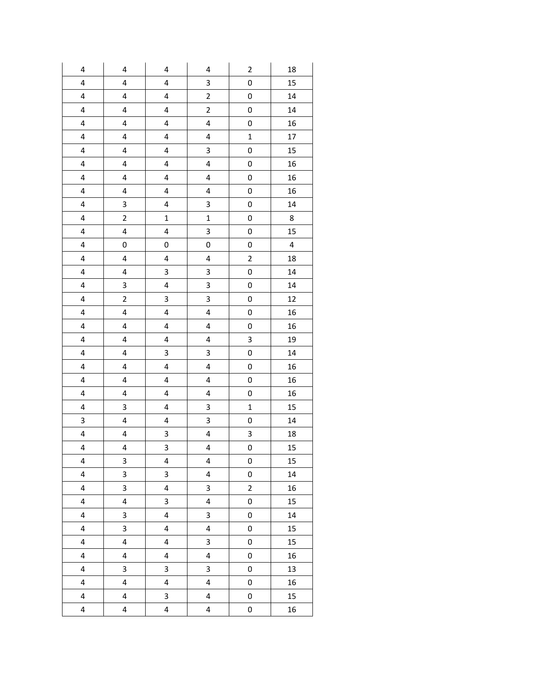| 4                       | $\pmb{4}$               | $\pmb{4}$               | 4                       | $\overline{\mathbf{c}}$ | 18 |
|-------------------------|-------------------------|-------------------------|-------------------------|-------------------------|----|
| 4                       | 4                       | 4                       | 3                       | 0                       | 15 |
| $\overline{\mathbf{4}}$ | 4                       | 4                       | $\overline{\mathbf{c}}$ | 0                       | 14 |
| 4                       | 4                       | 4                       | $\overline{\mathbf{c}}$ | 0                       | 14 |
| $\overline{\mathbf{4}}$ | 4                       | 4                       | 4                       | $\bf{0}$                | 16 |
| $\overline{\mathbf{4}}$ | $\overline{\mathbf{4}}$ | 4                       | 4                       | $\mathbf 1$             | 17 |
| 4                       | 4                       | 4                       | 3                       | $\pmb{0}$               | 15 |
| $\pmb{4}$               | 4                       | 4                       | 4                       | 0                       | 16 |
| 4                       | 4                       | 4                       | 4                       | 0                       | 16 |
| $\overline{\mathbf{4}}$ | 4                       | 4                       | 4                       | 0                       | 16 |
| $\overline{\mathbf{4}}$ | 3                       | 4                       | 3                       | 0                       | 14 |
| $\overline{\mathbf{4}}$ | $\overline{\mathbf{c}}$ | $\mathbf{1}$            | $\mathbf{1}$            | 0                       | 8  |
| $\overline{\mathbf{4}}$ | 4                       | 4                       | 3                       | $\pmb{0}$               | 15 |
| $\overline{\mathbf{4}}$ | 0                       | 0                       | 0                       | 0                       | 4  |
| 4                       | 4                       | 4                       | 4                       | $\overline{\mathbf{c}}$ | 18 |
| 4                       | 4                       | 3                       | 3                       | 0                       | 14 |
| $\overline{\mathbf{4}}$ | 3                       | $\overline{\mathbf{4}}$ | 3                       | $\mathbf 0$             | 14 |
| $\pmb{4}$               | $\overline{c}$          | 3                       | 3                       | 0                       | 12 |
| $\overline{\mathbf{4}}$ | 4                       | 4                       | 4                       | 0                       | 16 |
| $\overline{\mathbf{4}}$ | 4                       | 4                       | 4                       | 0                       | 16 |
| 4                       | 4                       | 4                       | 4                       | 3                       | 19 |
| $\overline{\mathbf{4}}$ | 4                       | 3                       | 3                       | 0                       | 14 |
| $\overline{\mathbf{4}}$ | 4                       | 4                       | 4                       | $\pmb{0}$               | 16 |
| 4                       | 4                       | 4                       | 4                       | $\bf{0}$                | 16 |
| $\pmb{4}$               | 4                       | 4                       | 4                       | 0                       | 16 |
| 4                       | 3                       | 4                       | 3                       | $\mathbf 1$             | 15 |
| 3                       | 4                       | 4                       | 3                       | 0                       | 14 |
| 4                       | 4                       | 3                       | 4                       | 3                       | 18 |
| 4                       | 4                       | 3                       | 4                       | 0                       | 15 |
| 4                       | 3                       | $\pmb{4}$               | $\overline{\mathbf{4}}$ | 0                       | 15 |
| $\overline{\mathbf{4}}$ | 3                       | 3                       | $\overline{\mathbf{4}}$ | 0                       | 14 |
| $\overline{\mathbf{4}}$ | 3                       | $\overline{\mathbf{4}}$ | 3                       | $\overline{2}$          | 16 |
| 4                       | $\overline{\mathbf{4}}$ | 3                       | 4                       | 0                       | 15 |
| $\overline{\mathbf{4}}$ | 3                       | $\overline{\mathbf{4}}$ | 3                       | 0                       | 14 |
| $\overline{\mathbf{4}}$ | 3                       | $\overline{\mathbf{4}}$ | $\overline{\mathbf{4}}$ | 0                       | 15 |
| $\overline{\mathbf{4}}$ | 4                       | $\overline{\mathbf{4}}$ | 3                       | 0                       | 15 |
| 4                       | $\overline{\mathbf{4}}$ | $\overline{\mathbf{4}}$ | $\overline{\mathbf{4}}$ | 0                       | 16 |
| $\overline{\mathbf{4}}$ | 3                       | 3                       | 3                       | 0                       | 13 |
| $\overline{\mathbf{4}}$ | $\overline{\mathbf{4}}$ | $\overline{\mathbf{4}}$ | 4                       | 0                       | 16 |
| $\overline{\mathbf{4}}$ | 4                       | 3                       | 4                       | 0                       | 15 |
| $\overline{\mathbf{4}}$ | 4                       | $\overline{\mathbf{4}}$ | $\overline{\mathbf{4}}$ | 0                       | 16 |